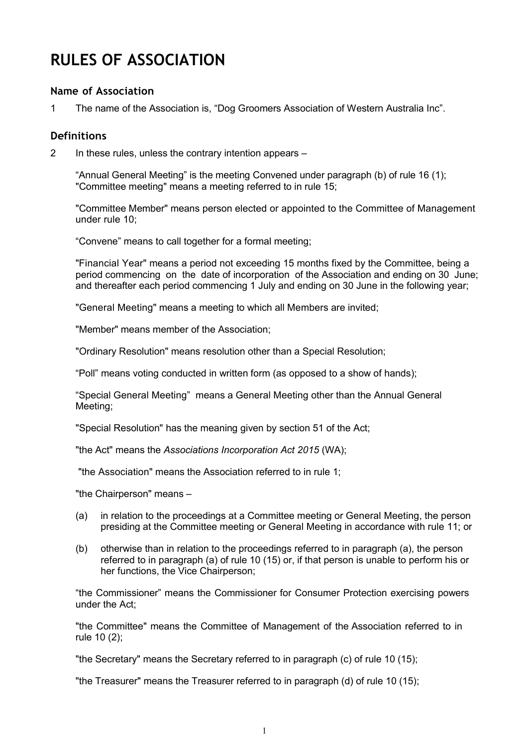# **RULES OF ASSOCIATION**

## **Name of Association**

1 The name of the Association is, "Dog Groomers Association of Western Australia Inc".

#### **Definitions**

2 In these rules, unless the contrary intention appears –

"Annual General Meeting" is the meeting Convened under paragraph (b) of rule 16 (1); "Committee meeting" means a meeting referred to in rule 15;

"Committee Member" means person elected or appointed to the Committee of Management under rule 10;

"Convene" means to call together for a formal meeting;

"Financial Year" means a period not exceeding 15 months fixed by the Committee, being a period commencing on the date of incorporation of the Association and ending on 30 June; and thereafter each period commencing 1 July and ending on 30 June in the following year;

"General Meeting" means a meeting to which all Members are invited;

"Member" means member of the Association;

"Ordinary Resolution" means resolution other than a Special Resolution;

"Poll" means voting conducted in written form (as opposed to a show of hands);

"Special General Meeting" means a General Meeting other than the Annual General Meeting;

"Special Resolution" has the meaning given by section 51 of the Act;

"the Act" means the *Associations Incorporation Act 2015* (WA);

"the Association" means the Association referred to in rule 1;

"the Chairperson" means –

- (a) in relation to the proceedings at a Committee meeting or General Meeting, the person presiding at the Committee meeting or General Meeting in accordance with rule 11; or
- (b) otherwise than in relation to the proceedings referred to in paragraph (a), the person referred to in paragraph (a) of rule 10 (15) or, if that person is unable to perform his or her functions, the Vice Chairperson;

"the Commissioner" means the Commissioner for Consumer Protection exercising powers under the Act;

"the Committee" means the Committee of Management of the Association referred to in rule 10 (2);

"the Secretary" means the Secretary referred to in paragraph (c) of rule 10 (15);

"the Treasurer" means the Treasurer referred to in paragraph (d) of rule 10 (15);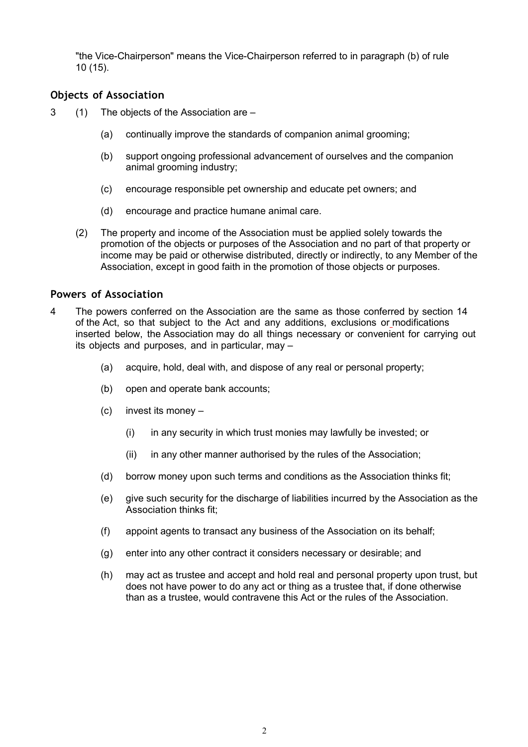"the Vice-Chairperson" means the Vice-Chairperson referred to in paragraph (b) of rule 10 (15).

# **Objects of Association**

- 3 (1) The objects of the Association are
	- (a) continually improve the standards of companion animal grooming;
	- (b) support ongoing professional advancement of ourselves and the companion animal grooming industry;
	- (c) encourage responsible pet ownership and educate pet owners; and
	- (d) encourage and practice humane animal care.
	- (2) The property and income of the Association must be applied solely towards the promotion of the objects or purposes of the Association and no part of that property or income may be paid or otherwise distributed, directly or indirectly, to any Member of the Association, except in good faith in the promotion of those objects or purposes.

#### **Powers of Association**

- 4 The powers conferred on the Association are the same as those conferred by section 14 of the Act, so that subject to the Act and any additions, exclusions or modifications inserted below, the Association may do all things necessary or convenient for carrying out its objects and purposes, and in particular, may –
	- (a) acquire, hold, deal with, and dispose of any real or personal property;
	- (b) open and operate bank accounts;
	- (c) invest its money
		- (i) in any security in which trust monies may lawfully be invested; or
		- (ii) in any other manner authorised by the rules of the Association;
	- (d) borrow money upon such terms and conditions as the Association thinks fit;
	- (e) give such security for the discharge of liabilities incurred by the Association as the Association thinks fit;
	- (f) appoint agents to transact any business of the Association on its behalf;
	- (g) enter into any other contract it considers necessary or desirable; and
	- (h) may act as trustee and accept and hold real and personal property upon trust, but does not have power to do any act or thing as a trustee that, if done otherwise than as a trustee, would contravene this Act or the rules of the Association.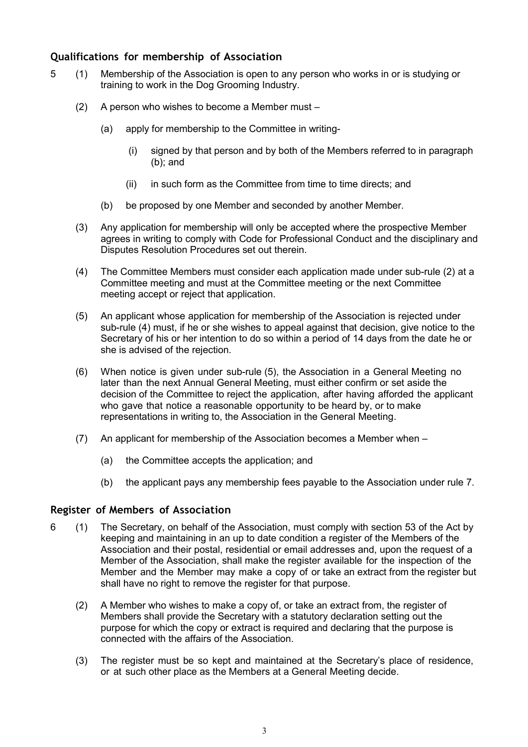# **Qualifications for membership of Association**

- 5 (1) Membership of the Association is open to any person who works in or is studying or training to work in the Dog Grooming Industry.
	- (2) A person who wishes to become a Member must
		- (a) apply for membership to the Committee in writing-
			- (i) signed by that person and by both of the Members referred to in paragraph (b); and
			- (ii) in such form as the Committee from time to time directs; and
		- (b) be proposed by one Member and seconded by another Member.
	- (3) Any application for membership will only be accepted where the prospective Member agrees in writing to comply with Code for Professional Conduct and the disciplinary and Disputes Resolution Procedures set out therein.
	- (4) The Committee Members must consider each application made under sub-rule (2) at a Committee meeting and must at the Committee meeting or the next Committee meeting accept or reject that application.
	- (5) An applicant whose application for membership of the Association is rejected under sub-rule (4) must, if he or she wishes to appeal against that decision, give notice to the Secretary of his or her intention to do so within a period of 14 days from the date he or she is advised of the rejection.
	- (6) When notice is given under sub-rule (5), the Association in a General Meeting no later than the next Annual General Meeting, must either confirm or set aside the decision of the Committee to reject the application, after having afforded the applicant who gave that notice a reasonable opportunity to be heard by, or to make representations in writing to, the Association in the General Meeting.
	- (7) An applicant for membership of the Association becomes a Member when
		- (a) the Committee accepts the application; and
		- (b) the applicant pays any membership fees payable to the Association under rule 7.

# **Register of Members of Association**

- 6 (1) The Secretary, on behalf of the Association, must comply with section 53 of the Act by keeping and maintaining in an up to date condition a register of the Members of the Association and their postal, residential or email addresses and, upon the request of a Member of the Association, shall make the register available for the inspection of the Member and the Member may make a copy of or take an extract from the register but shall have no right to remove the register for that purpose.
	- (2) A Member who wishes to make a copy of, or take an extract from, the register of Members shall provide the Secretary with a statutory declaration setting out the purpose for which the copy or extract is required and declaring that the purpose is connected with the affairs of the Association.
	- (3) The register must be so kept and maintained at the Secretary's place of residence, or at such other place as the Members at a General Meeting decide.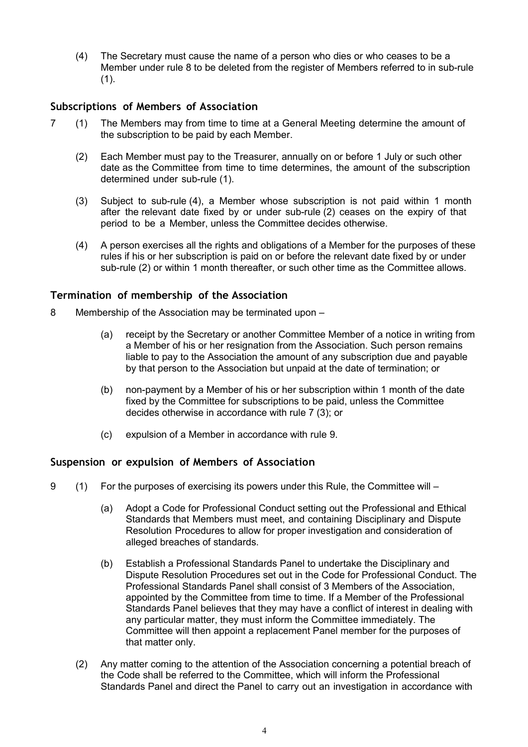(4) The Secretary must cause the name of a person who dies or who ceases to be a Member under rule 8 to be deleted from the register of Members referred to in sub-rule  $(1).$ 

# **Subscriptions of Members of Association**

- 7 (1) The Members may from time to time at a General Meeting determine the amount of the subscription to be paid by each Member.
	- (2) Each Member must pay to the Treasurer, annually on or before 1 July or such other date as the Committee from time to time determines, the amount of the subscription determined under sub-rule (1).
	- (3) Subject to sub-rule (4), a Member whose subscription is not paid within 1 month after the relevant date fixed by or under sub-rule (2) ceases on the expiry of that period to be a Member, unless the Committee decides otherwise.
	- (4) A person exercises all the rights and obligations of a Member for the purposes of these rules if his or her subscription is paid on or before the relevant date fixed by or under sub-rule (2) or within 1 month thereafter, or such other time as the Committee allows.

# **Termination of membership of the Association**

- 8 Membership of the Association may be terminated upon
	- (a) receipt by the Secretary or another Committee Member of a notice in writing from a Member of his or her resignation from the Association. Such person remains liable to pay to the Association the amount of any subscription due and payable by that person to the Association but unpaid at the date of termination; or
	- (b) non-payment by a Member of his or her subscription within 1 month of the date fixed by the Committee for subscriptions to be paid, unless the Committee decides otherwise in accordance with rule 7 (3); or
	- (c) expulsion of a Member in accordance with rule 9.

# **Suspension or expulsion of Members of Association**

- 9 (1) For the purposes of exercising its powers under this Rule, the Committee will
	- (a) Adopt a Code for Professional Conduct setting out the Professional and Ethical Standards that Members must meet, and containing Disciplinary and Dispute Resolution Procedures to allow for proper investigation and consideration of alleged breaches of standards.
	- (b) Establish a Professional Standards Panel to undertake the Disciplinary and Dispute Resolution Procedures set out in the Code for Professional Conduct. The Professional Standards Panel shall consist of 3 Members of the Association, appointed by the Committee from time to time. If a Member of the Professional Standards Panel believes that they may have a conflict of interest in dealing with any particular matter, they must inform the Committee immediately. The Committee will then appoint a replacement Panel member for the purposes of that matter only.
	- (2) Any matter coming to the attention of the Association concerning a potential breach of the Code shall be referred to the Committee, which will inform the Professional Standards Panel and direct the Panel to carry out an investigation in accordance with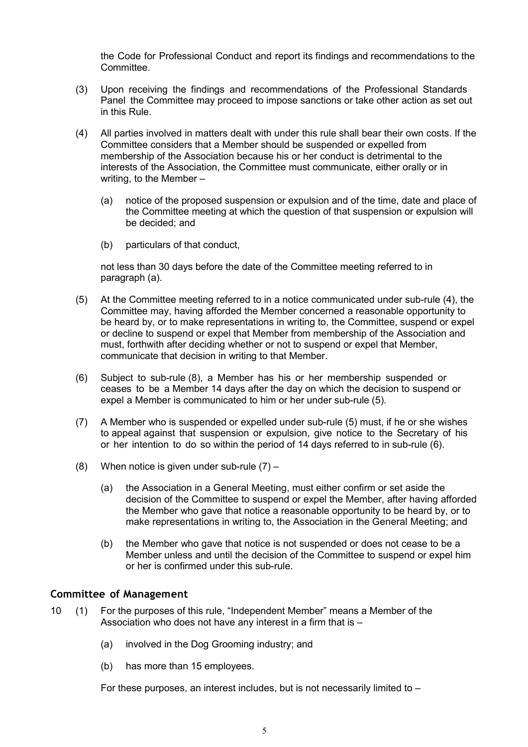the Code for Professional Conduct and report its findings and recommendations to the Committee.

- (3) Upon receiving the findings and recommendations of the Professional Standards Panel the Committee may proceed to impose sanctions or take other action as set out in this Rule.
- (4) All parties involved in matters dealt with under this rule shall bear their own costs. If the Committee considers that a Member should be suspended or expelled from membership of the Association because his or her conduct is detrimental to the interests of the Association, the Committee must communicate, either orally or in writing, to the Member –
	- (a) notice of the proposed suspension or expulsion and of the time, date and place of the Committee meeting at which the question of that suspension or expulsion will be decided; and
	- (b) particulars of that conduct,

not less than 30 days before the date of the Committee meeting referred to in paragraph (a).

- (5) At the Committee meeting referred to in a notice communicated under sub-rule (4), the Committee may, having afforded the Member concerned a reasonable opportunity to be heard by, or to make representations in writing to, the Committee, suspend or expel or decline to suspend or expel that Member from membership of the Association and must, forthwith after deciding whether or not to suspend or expel that Member, communicate that decision in writing to that Member.
- (6) Subject to sub-rule (8), a Member has his or her membership suspended or ceases to be a Member 14 days after the day on which the decision to suspend or expel a Member is communicated to him or her under sub-rule (5).
- (7) A Member who is suspended or expelled under sub-rule (5) must, if he or she wishes to appeal against that suspension or expulsion, give notice to the Secretary of his or her intention to do so within the period of 14 days referred to in sub-rule (6).
- (8) When notice is given under sub-rule  $(7)$ 
	- (a) the Association in a General Meeting, must either confirm or set aside the decision of the Committee to suspend or expel the Member, after having afforded the Member who gave that notice a reasonable opportunity to be heard by, or to make representations in writing to, the Association in the General Meeting; and
	- (b) the Member who gave that notice is not suspended or does not cease to be a Member unless and until the decision of the Committee to suspend or expel him or her is confirmed under this sub-rule.

#### **Committee of Management**

- 10 (1) For the purposes of this rule, "Independent Member" means a Member of the Association who does not have any interest in a firm that is –
	- (a) involved in the Dog Grooming industry; and
	- (b) has more than 15 employees.

For these purposes, an interest includes, but is not necessarily limited to –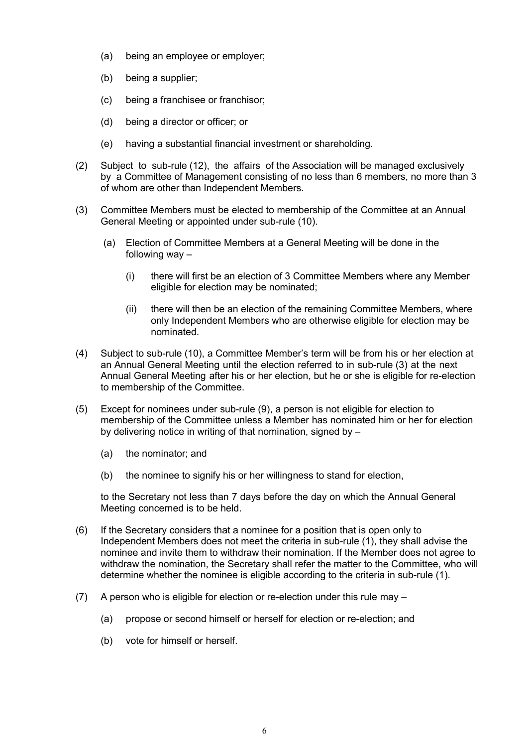- (a) being an employee or employer;
- (b) being a supplier;
- (c) being a franchisee or franchisor;
- (d) being a director or officer; or
- (e) having a substantial financial investment or shareholding.
- (2) Subject to sub-rule (12), the affairs of the Association will be managed exclusively by a Committee of Management consisting of no less than 6 members, no more than 3 of whom are other than Independent Members.
- (3) Committee Members must be elected to membership of the Committee at an Annual General Meeting or appointed under sub-rule (10).
	- (a) Election of Committee Members at a General Meeting will be done in the following way –
		- (i) there will first be an election of 3 Committee Members where any Member eligible for election may be nominated;
		- (ii) there will then be an election of the remaining Committee Members, where only Independent Members who are otherwise eligible for election may be nominated.
- (4) Subject to sub-rule (10), a Committee Member's term will be from his or her election at an Annual General Meeting until the election referred to in sub-rule (3) at the next Annual General Meeting after his or her election, but he or she is eligible for re-election to membership of the Committee.
- (5) Except for nominees under sub-rule (9), a person is not eligible for election to membership of the Committee unless a Member has nominated him or her for election by delivering notice in writing of that nomination, signed by –
	- (a) the nominator; and
	- (b) the nominee to signify his or her willingness to stand for election,

to the Secretary not less than 7 days before the day on which the Annual General Meeting concerned is to be held.

- (6) If the Secretary considers that a nominee for a position that is open only to Independent Members does not meet the criteria in sub-rule (1), they shall advise the nominee and invite them to withdraw their nomination. If the Member does not agree to withdraw the nomination, the Secretary shall refer the matter to the Committee, who will determine whether the nominee is eligible according to the criteria in sub-rule (1).
- (7) A person who is eligible for election or re-election under this rule may
	- (a) propose or second himself or herself for election or re-election; and
	- (b) vote for himself or herself.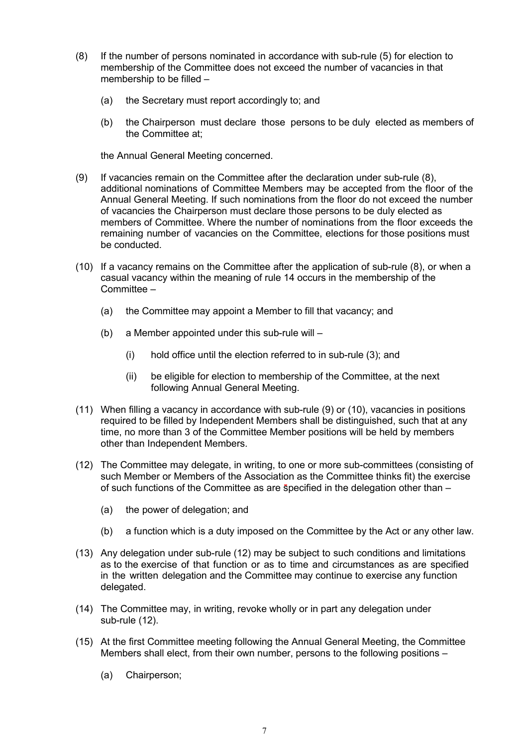- (8) If the number of persons nominated in accordance with sub-rule (5) for election to membership of the Committee does not exceed the number of vacancies in that membership to be filled –
	- (a) the Secretary must report accordingly to; and
	- (b) the Chairperson must declare those persons to be duly elected as members of the Committee at;

the Annual General Meeting concerned.

- (9) If vacancies remain on the Committee after the declaration under sub-rule (8), additional nominations of Committee Members may be accepted from the floor of the Annual General Meeting. If such nominations from the floor do not exceed the number of vacancies the Chairperson must declare those persons to be duly elected as members of Committee. Where the number of nominations from the floor exceeds the remaining number of vacancies on the Committee, elections for those positions must be conducted.
- (10) If a vacancy remains on the Committee after the application of sub-rule (8), or when a casual vacancy within the meaning of rule 14 occurs in the membership of the Committee –
	- (a) the Committee may appoint a Member to fill that vacancy; and
	- (b) a Member appointed under this sub-rule will
		- (i) hold office until the election referred to in sub-rule (3); and
		- (ii) be eligible for election to membership of the Committee, at the next following Annual General Meeting.
- (11) When filling a vacancy in accordance with sub-rule (9) or (10), vacancies in positions required to be filled by Independent Members shall be distinguished, such that at any time, no more than 3 of the Committee Member positions will be held by members other than Independent Members.
- (12) The Committee may delegate, in writing, to one or more sub-committees (consisting of such Member or Members of the Association as the Committee thinks fit) the exercise of such functions of the Committee as are specified in the delegation other than –
	- (a) the power of delegation; and
	- (b) a function which is a duty imposed on the Committee by the Act or any other law.
- (13) Any delegation under sub-rule (12) may be subject to such conditions and limitations as to the exercise of that function or as to time and circumstances as are specified in the written delegation and the Committee may continue to exercise any function delegated.
- (14) The Committee may, in writing, revoke wholly or in part any delegation under sub-rule (12).
- (15) At the first Committee meeting following the Annual General Meeting, the Committee Members shall elect, from their own number, persons to the following positions –
	- (a) Chairperson;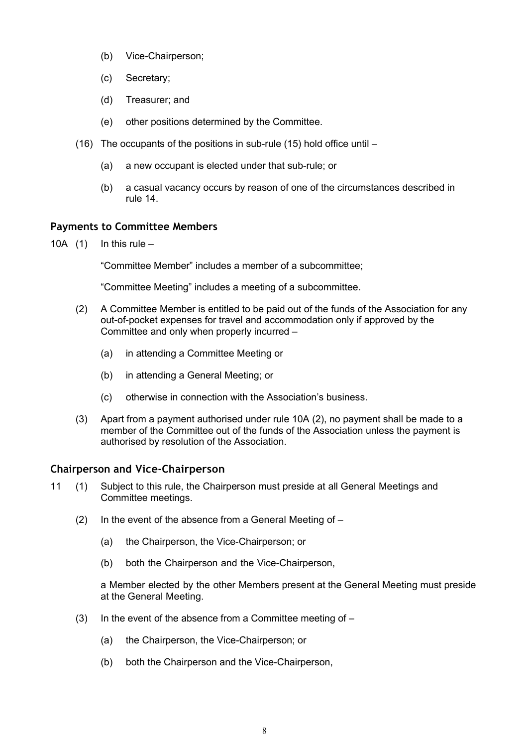- (b) Vice-Chairperson;
- (c) Secretary;
- (d) Treasurer; and
- (e) other positions determined by the Committee.
- (16) The occupants of the positions in sub-rule (15) hold office until
	- (a) a new occupant is elected under that sub-rule; or
	- (b) a casual vacancy occurs by reason of one of the circumstances described in rule 14.

# **Payments to Committee Members**

10A  $(1)$  In this rule –

"Committee Member" includes a member of a subcommittee;

"Committee Meeting" includes a meeting of a subcommittee.

- (2) A Committee Member is entitled to be paid out of the funds of the Association for any out-of-pocket expenses for travel and accommodation only if approved by the Committee and only when properly incurred –
	- (a) in attending a Committee Meeting or
	- (b) in attending a General Meeting; or
	- (c) otherwise in connection with the Association's business.
- (3) Apart from a payment authorised under rule 10A (2), no payment shall be made to a member of the Committee out of the funds of the Association unless the payment is authorised by resolution of the Association.

# **Chairperson and Vice-Chairperson**

- 11 (1) Subject to this rule, the Chairperson must preside at all General Meetings and Committee meetings.
	- (2) In the event of the absence from a General Meeting of  $-$ 
		- (a) the Chairperson, the Vice-Chairperson; or
		- (b) both the Chairperson and the Vice-Chairperson,

a Member elected by the other Members present at the General Meeting must preside at the General Meeting.

- (3) In the event of the absence from a Committee meeting of  $-$ 
	- (a) the Chairperson, the Vice-Chairperson; or
	- (b) both the Chairperson and the Vice-Chairperson,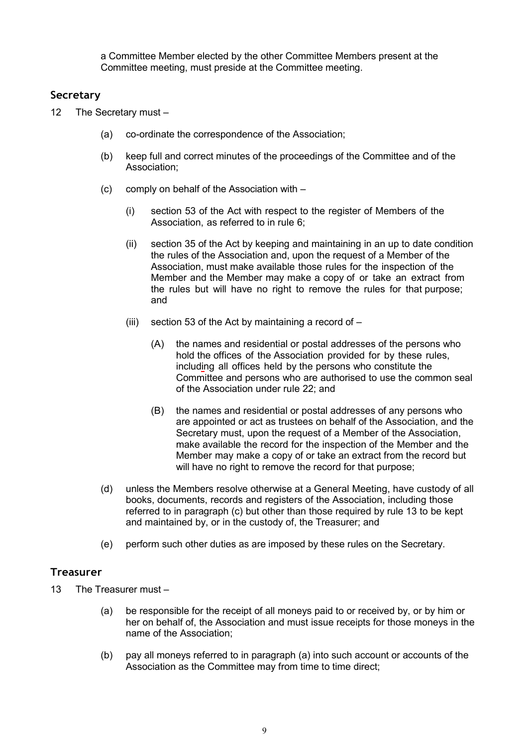a Committee Member elected by the other Committee Members present at the Committee meeting, must preside at the Committee meeting.

## **Secretary**

- 12 The Secretary must
	- (a) co-ordinate the correspondence of the Association;
	- (b) keep full and correct minutes of the proceedings of the Committee and of the Association;
	- (c) comply on behalf of the Association with
		- (i) section 53 of the Act with respect to the register of Members of the Association, as referred to in rule 6;
		- (ii) section 35 of the Act by keeping and maintaining in an up to date condition the rules of the Association and, upon the request of a Member of the Association, must make available those rules for the inspection of the Member and the Member may make a copy of or take an extract from the rules but will have no right to remove the rules for that purpose; and
		- (iii) section 53 of the Act by maintaining a record of  $-$ 
			- (A) the names and residential or postal addresses of the persons who hold the offices of the Association provided for by these rules, including all offices held by the persons who constitute the Committee and persons who are authorised to use the common seal of the Association under rule 22; and
			- (B) the names and residential or postal addresses of any persons who are appointed or act as trustees on behalf of the Association, and the Secretary must, upon the request of a Member of the Association, make available the record for the inspection of the Member and the Member may make a copy of or take an extract from the record but will have no right to remove the record for that purpose;
	- (d) unless the Members resolve otherwise at a General Meeting, have custody of all books, documents, records and registers of the Association, including those referred to in paragraph (c) but other than those required by rule 13 to be kept and maintained by, or in the custody of, the Treasurer; and
	- (e) perform such other duties as are imposed by these rules on the Secretary.

# **Treasurer**

- 13 The Treasurer must
	- (a) be responsible for the receipt of all moneys paid to or received by, or by him or her on behalf of, the Association and must issue receipts for those moneys in the name of the Association;
	- (b) pay all moneys referred to in paragraph (a) into such account or accounts of the Association as the Committee may from time to time direct;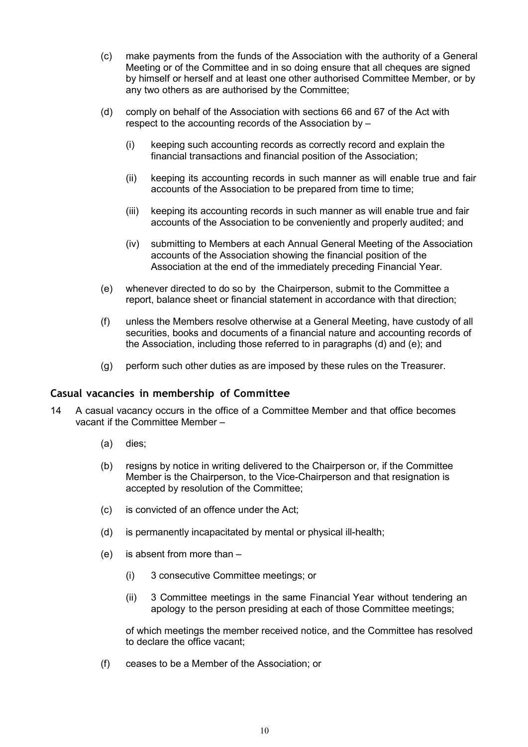- (c) make payments from the funds of the Association with the authority of a General Meeting or of the Committee and in so doing ensure that all cheques are signed by himself or herself and at least one other authorised Committee Member, or by any two others as are authorised by the Committee;
- (d) comply on behalf of the Association with sections 66 and 67 of the Act with respect to the accounting records of the Association by –
	- (i) keeping such accounting records as correctly record and explain the financial transactions and financial position of the Association;
	- (ii) keeping its accounting records in such manner as will enable true and fair accounts of the Association to be prepared from time to time;
	- (iii) keeping its accounting records in such manner as will enable true and fair accounts of the Association to be conveniently and properly audited; and
	- (iv) submitting to Members at each Annual General Meeting of the Association accounts of the Association showing the financial position of the Association at the end of the immediately preceding Financial Year.
- (e) whenever directed to do so by the Chairperson, submit to the Committee a report, balance sheet or financial statement in accordance with that direction;
- (f) unless the Members resolve otherwise at a General Meeting, have custody of all securities, books and documents of a financial nature and accounting records of the Association, including those referred to in paragraphs (d) and (e); and
- (g) perform such other duties as are imposed by these rules on the Treasurer.

## **Casual vacancies in membership of Committee**

- 14 A casual vacancy occurs in the office of a Committee Member and that office becomes vacant if the Committee Member –
	- (a) dies;
	- (b) resigns by notice in writing delivered to the Chairperson or, if the Committee Member is the Chairperson, to the Vice-Chairperson and that resignation is accepted by resolution of the Committee;
	- (c) is convicted of an offence under the Act;
	- (d) is permanently incapacitated by mental or physical ill-health;
	- (e) is absent from more than
		- (i) 3 consecutive Committee meetings; or
		- (ii) 3 Committee meetings in the same Financial Year without tendering an apology to the person presiding at each of those Committee meetings;

of which meetings the member received notice, and the Committee has resolved to declare the office vacant;

(f) ceases to be a Member of the Association; or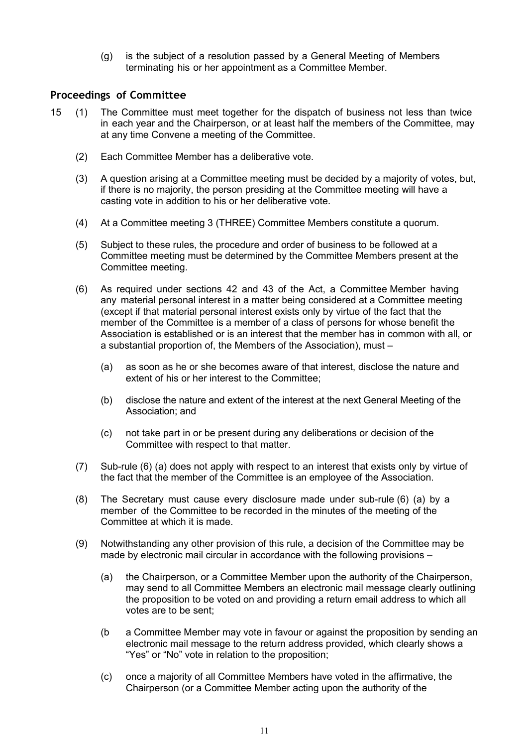(g) is the subject of a resolution passed by a General Meeting of Members terminating his or her appointment as a Committee Member.

#### **Proceedings of Committee**

- 15 (1) The Committee must meet together for the dispatch of business not less than twice in each year and the Chairperson, or at least half the members of the Committee, may at any time Convene a meeting of the Committee.
	- (2) Each Committee Member has a deliberative vote.
	- (3) A question arising at a Committee meeting must be decided by a majority of votes, but, if there is no majority, the person presiding at the Committee meeting will have a casting vote in addition to his or her deliberative vote.
	- (4) At a Committee meeting 3 (THREE) Committee Members constitute a quorum.
	- (5) Subject to these rules, the procedure and order of business to be followed at a Committee meeting must be determined by the Committee Members present at the Committee meeting.
	- (6) As required under sections 42 and 43 of the Act, a Committee Member having any material personal interest in a matter being considered at a Committee meeting (except if that material personal interest exists only by virtue of the fact that the member of the Committee is a member of a class of persons for whose benefit the Association is established or is an interest that the member has in common with all, or a substantial proportion of, the Members of the Association), must –
		- (a) as soon as he or she becomes aware of that interest, disclose the nature and extent of his or her interest to the Committee;
		- (b) disclose the nature and extent of the interest at the next General Meeting of the Association; and
		- (c) not take part in or be present during any deliberations or decision of the Committee with respect to that matter.
	- (7) Sub-rule (6) (a) does not apply with respect to an interest that exists only by virtue of the fact that the member of the Committee is an employee of the Association.
	- (8) The Secretary must cause every disclosure made under sub-rule (6) (a) by a member of the Committee to be recorded in the minutes of the meeting of the Committee at which it is made.
	- (9) Notwithstanding any other provision of this rule, a decision of the Committee may be made by electronic mail circular in accordance with the following provisions  $-$ 
		- (a) the Chairperson, or a Committee Member upon the authority of the Chairperson, may send to all Committee Members an electronic mail message clearly outlining the proposition to be voted on and providing a return email address to which all votes are to be sent;
		- (b a Committee Member may vote in favour or against the proposition by sending an electronic mail message to the return address provided, which clearly shows a "Yes" or "No" vote in relation to the proposition;
		- (c) once a majority of all Committee Members have voted in the affirmative, the Chairperson (or a Committee Member acting upon the authority of the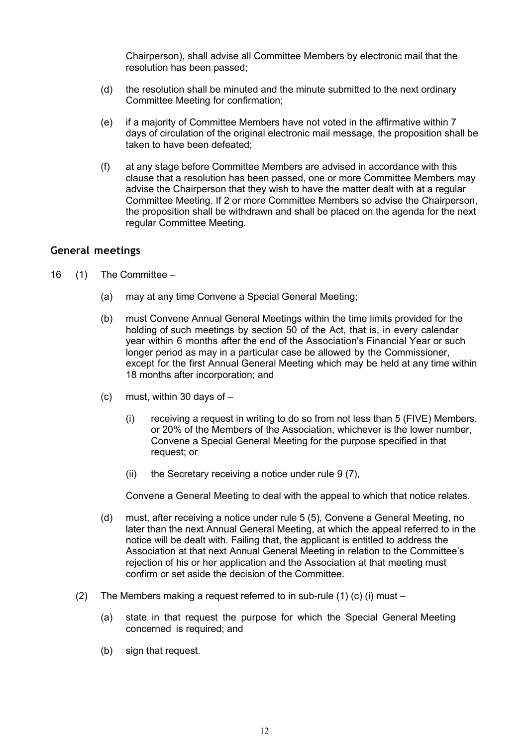Chairperson), shall advise all Committee Members by electronic mail that the resolution has been passed;

- (d) the resolution shall be minuted and the minute submitted to the next ordinary Committee Meeting for confirmation;
- (e) if a majority of Committee Members have not voted in the affirmative within 7 days of circulation of the original electronic mail message, the proposition shall be taken to have been defeated;
- (f) at any stage before Committee Members are advised in accordance with this clause that a resolution has been passed, one or more Committee Members may advise the Chairperson that they wish to have the matter dealt with at a regular Committee Meeting. If 2 or more Committee Members so advise the Chairperson, the proposition shall be withdrawn and shall be placed on the agenda for the next regular Committee Meeting.

#### **General meetings**

- 16 (1) The Committee
	- (a) may at any time Convene a Special General Meeting;
	- (b) must Convene Annual General Meetings within the time limits provided for the holding of such meetings by section 50 of the Act, that is, in every calendar year within 6 months after the end of the Association's Financial Year or such longer period as may in a particular case be allowed by the Commissioner, except for the first Annual General Meeting which may be held at any time within 18 months after incorporation; and
	- (c) must, within 30 days of
		- (i) receiving a request in writing to do so from not less than 5 (FIVE) Members, or 20% of the Members of the Association, whichever is the lower number, Convene a Special General Meeting for the purpose specified in that request; or
		- (ii) the Secretary receiving a notice under rule 9 (7),

Convene a General Meeting to deal with the appeal to which that notice relates.

- (d) must, after receiving a notice under rule 5 (5), Convene a General Meeting, no later than the next Annual General Meeting, at which the appeal referred to in the notice will be dealt with. Failing that, the applicant is entitled to address the Association at that next Annual General Meeting in relation to the Committee's rejection of his or her application and the Association at that meeting must confirm or set aside the decision of the Committee.
- (2) The Members making a request referred to in sub-rule (1) (c) (i) must
	- (a) state in that request the purpose for which the Special General Meeting concerned is required; and
	- (b) sign that request.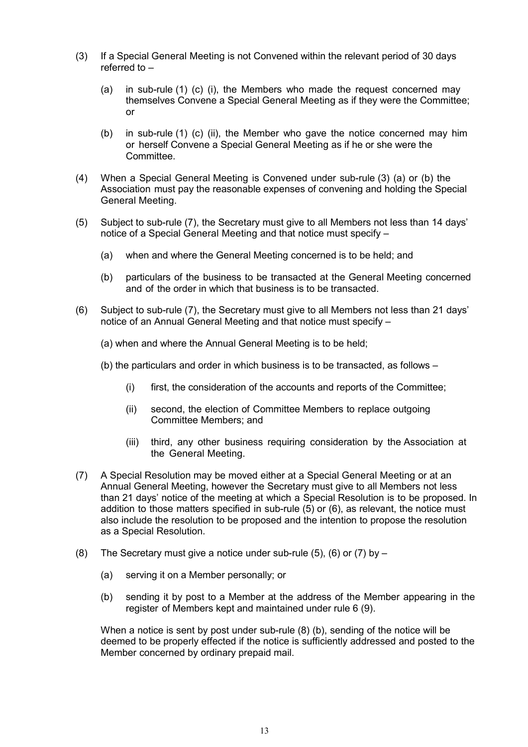- (3) If a Special General Meeting is not Convened within the relevant period of 30 days referred to –
	- (a) in sub-rule (1) (c) (i), the Members who made the request concerned may themselves Convene a Special General Meeting as if they were the Committee; or
	- (b) in sub-rule (1) (c) (ii), the Member who gave the notice concerned may him or herself Convene a Special General Meeting as if he or she were the Committee.
- (4) When a Special General Meeting is Convened under sub-rule (3) (a) or (b) the Association must pay the reasonable expenses of convening and holding the Special General Meeting.
- (5) Subject to sub-rule (7), the Secretary must give to all Members not less than 14 days' notice of a Special General Meeting and that notice must specify –
	- (a) when and where the General Meeting concerned is to be held; and
	- (b) particulars of the business to be transacted at the General Meeting concerned and of the order in which that business is to be transacted.
- (6) Subject to sub-rule (7), the Secretary must give to all Members not less than 21 days' notice of an Annual General Meeting and that notice must specify –
	- (a) when and where the Annual General Meeting is to be held;
	- (b) the particulars and order in which business is to be transacted, as follows
		- (i) first, the consideration of the accounts and reports of the Committee;
		- (ii) second, the election of Committee Members to replace outgoing Committee Members; and
		- (iii) third, any other business requiring consideration by the Association at the General Meeting.
- (7) A Special Resolution may be moved either at a Special General Meeting or at an Annual General Meeting, however the Secretary must give to all Members not less than 21 days' notice of the meeting at which a Special Resolution is to be proposed. In addition to those matters specified in sub-rule (5) or (6), as relevant, the notice must also include the resolution to be proposed and the intention to propose the resolution as a Special Resolution.
- (8) The Secretary must give a notice under sub-rule  $(5)$ ,  $(6)$  or  $(7)$  by  $-$ 
	- (a) serving it on a Member personally; or
	- (b) sending it by post to a Member at the address of the Member appearing in the register of Members kept and maintained under rule 6 (9).

When a notice is sent by post under sub-rule (8) (b), sending of the notice will be deemed to be properly effected if the notice is sufficiently addressed and posted to the Member concerned by ordinary prepaid mail.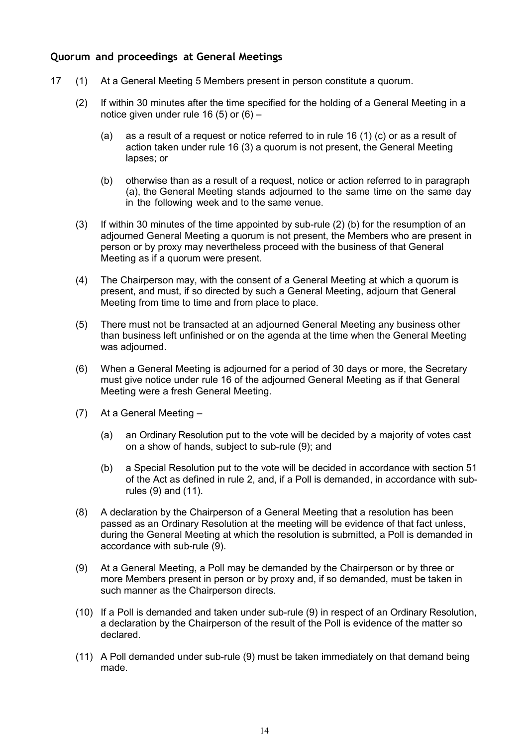# **Quorum and proceedings at General Meetings**

- 17 (1) At a General Meeting 5 Members present in person constitute a quorum.
	- (2) If within 30 minutes after the time specified for the holding of a General Meeting in a notice given under rule 16 (5) or (6) –
		- (a) as a result of a request or notice referred to in rule 16 (1) (c) or as a result of action taken under rule 16 (3) a quorum is not present, the General Meeting lapses; or
		- (b) otherwise than as a result of a request, notice or action referred to in paragraph (a), the General Meeting stands adjourned to the same time on the same day in the following week and to the same venue.
	- (3) If within 30 minutes of the time appointed by sub-rule (2) (b) for the resumption of an adjourned General Meeting a quorum is not present, the Members who are present in person or by proxy may nevertheless proceed with the business of that General Meeting as if a quorum were present.
	- (4) The Chairperson may, with the consent of a General Meeting at which a quorum is present, and must, if so directed by such a General Meeting, adjourn that General Meeting from time to time and from place to place.
	- (5) There must not be transacted at an adjourned General Meeting any business other than business left unfinished or on the agenda at the time when the General Meeting was adjourned.
	- (6) When a General Meeting is adjourned for a period of 30 days or more, the Secretary must give notice under rule 16 of the adjourned General Meeting as if that General Meeting were a fresh General Meeting.
	- (7) At a General Meeting
		- (a) an Ordinary Resolution put to the vote will be decided by a majority of votes cast on a show of hands, subject to sub-rule (9); and
		- (b) a Special Resolution put to the vote will be decided in accordance with section 51 of the Act as defined in rule 2, and, if a Poll is demanded, in accordance with subrules (9) and (11).
	- (8) A declaration by the Chairperson of a General Meeting that a resolution has been passed as an Ordinary Resolution at the meeting will be evidence of that fact unless, during the General Meeting at which the resolution is submitted, a Poll is demanded in accordance with sub-rule (9).
	- (9) At a General Meeting, a Poll may be demanded by the Chairperson or by three or more Members present in person or by proxy and, if so demanded, must be taken in such manner as the Chairperson directs.
	- (10) If a Poll is demanded and taken under sub-rule (9) in respect of an Ordinary Resolution, a declaration by the Chairperson of the result of the Poll is evidence of the matter so declared.
	- (11) A Poll demanded under sub-rule (9) must be taken immediately on that demand being made.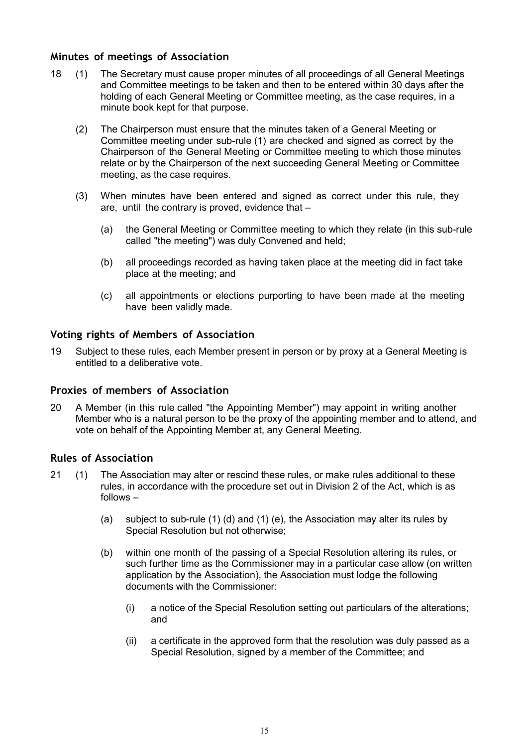#### **Minutes of meetings of Association**

- 18 (1) The Secretary must cause proper minutes of all proceedings of all General Meetings and Committee meetings to be taken and then to be entered within 30 days after the holding of each General Meeting or Committee meeting, as the case requires, in a minute book kept for that purpose.
	- (2) The Chairperson must ensure that the minutes taken of a General Meeting or Committee meeting under sub-rule (1) are checked and signed as correct by the Chairperson of the General Meeting or Committee meeting to which those minutes relate or by the Chairperson of the next succeeding General Meeting or Committee meeting, as the case requires.
	- (3) When minutes have been entered and signed as correct under this rule, they are, until the contrary is proved, evidence that –
		- (a) the General Meeting or Committee meeting to which they relate (in this sub-rule called "the meeting") was duly Convened and held;
		- (b) all proceedings recorded as having taken place at the meeting did in fact take place at the meeting; and
		- (c) all appointments or elections purporting to have been made at the meeting have been validly made.

#### **Voting rights of Members of Association**

19 Subject to these rules, each Member present in person or by proxy at a General Meeting is entitled to a deliberative vote.

#### **Proxies of members of Association**

20 A Member (in this rule called "the Appointing Member") may appoint in writing another Member who is a natural person to be the proxy of the appointing member and to attend, and vote on behalf of the Appointing Member at, any General Meeting.

#### **Rules of Association**

- 21 (1) The Association may alter or rescind these rules, or make rules additional to these rules, in accordance with the procedure set out in Division 2 of the Act, which is as follows –
	- (a) subject to sub-rule (1) (d) and (1) (e), the Association may alter its rules by Special Resolution but not otherwise;
	- (b) within one month of the passing of a Special Resolution altering its rules, or such further time as the Commissioner may in a particular case allow (on written application by the Association), the Association must lodge the following documents with the Commissioner:
		- (i) a notice of the Special Resolution setting out particulars of the alterations; and
		- (ii) a certificate in the approved form that the resolution was duly passed as a Special Resolution, signed by a member of the Committee; and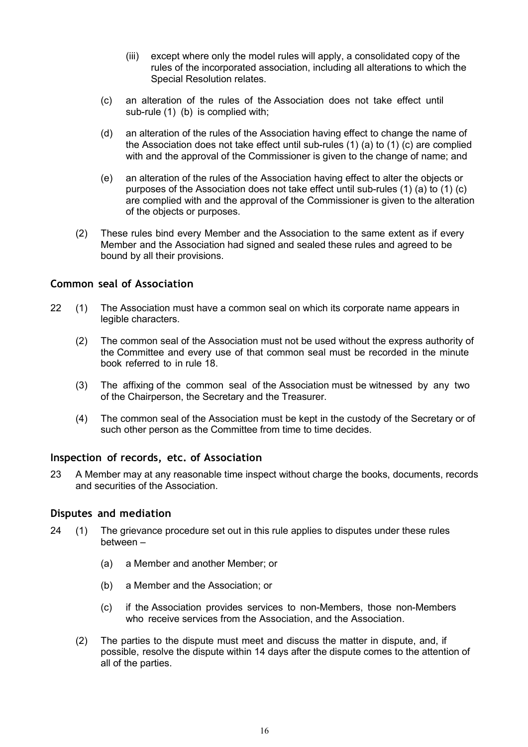- (iii) except where only the model rules will apply, a consolidated copy of the rules of the incorporated association, including all alterations to which the Special Resolution relates.
- (c) an alteration of the rules of the Association does not take effect until sub-rule (1) (b) is complied with;
- (d) an alteration of the rules of the Association having effect to change the name of the Association does not take effect until sub-rules (1) (a) to (1) (c) are complied with and the approval of the Commissioner is given to the change of name; and
- (e) an alteration of the rules of the Association having effect to alter the objects or purposes of the Association does not take effect until sub-rules (1) (a) to (1) (c) are complied with and the approval of the Commissioner is given to the alteration of the objects or purposes.
- (2) These rules bind every Member and the Association to the same extent as if every Member and the Association had signed and sealed these rules and agreed to be bound by all their provisions.

#### **Common seal of Association**

- 22 (1) The Association must have a common seal on which its corporate name appears in legible characters.
	- (2) The common seal of the Association must not be used without the express authority of the Committee and every use of that common seal must be recorded in the minute book referred to in rule 18.
	- (3) The affixing of the common seal of the Association must be witnessed by any two of the Chairperson, the Secretary and the Treasurer.
	- (4) The common seal of the Association must be kept in the custody of the Secretary or of such other person as the Committee from time to time decides.

#### **Inspection of records, etc. of Association**

23 A Member may at any reasonable time inspect without charge the books, documents, records and securities of the Association.

#### **Disputes and mediation**

- 24 (1) The grievance procedure set out in this rule applies to disputes under these rules between –
	- (a) a Member and another Member; or
	- (b) a Member and the Association; or
	- (c) if the Association provides services to non-Members, those non-Members who receive services from the Association, and the Association.
	- (2) The parties to the dispute must meet and discuss the matter in dispute, and, if possible, resolve the dispute within 14 days after the dispute comes to the attention of all of the parties.